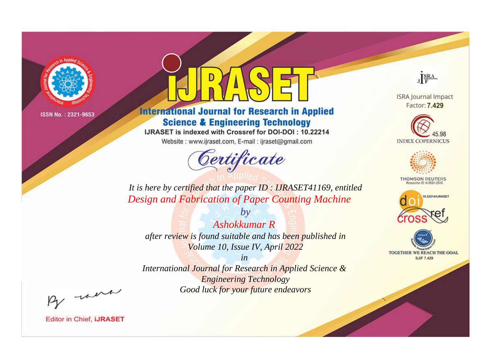

# **International Journal for Research in Applied Science & Engineering Technology**

IJRASET is indexed with Crossref for DOI-DOI: 10.22214

Website: www.ijraset.com, E-mail: ijraset@gmail.com



JERA

**ISRA Journal Impact** Factor: 7.429





**THOMSON REUTERS** 



TOGETHER WE REACH THE GOAL **SJIF 7.429** 

*It is here by certified that the paper ID : IJRASET41169, entitled Design and Fabrication of Paper Counting Machine*

*Ashokkumar R after review is found suitable and has been published in Volume 10, Issue IV, April 2022*

*by*

*in* 

*International Journal for Research in Applied Science & Engineering Technology Good luck for your future endeavors*

By morn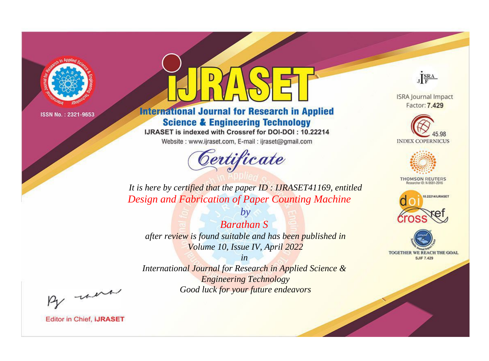

# **International Journal for Research in Applied Science & Engineering Technology**

IJRASET is indexed with Crossref for DOI-DOI: 10.22214

Website: www.ijraset.com, E-mail: ijraset@gmail.com



JERA

**ISRA Journal Impact** Factor: 7.429





**THOMSON REUTERS** 



TOGETHER WE REACH THE GOAL **SJIF 7.429** 

*It is here by certified that the paper ID : IJRASET41169, entitled Design and Fabrication of Paper Counting Machine*

*Barathan S after review is found suitable and has been published in Volume 10, Issue IV, April 2022*

*by*

*in* 

*International Journal for Research in Applied Science & Engineering Technology Good luck for your future endeavors*

By morn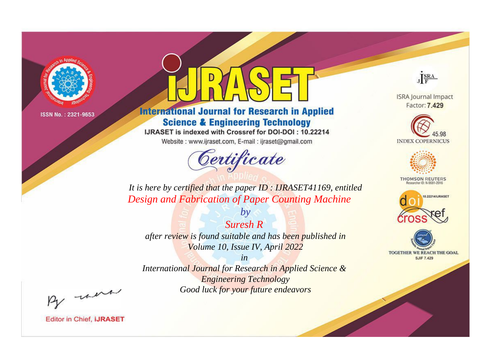

# **International Journal for Research in Applied Science & Engineering Technology**

IJRASET is indexed with Crossref for DOI-DOI: 10.22214

Website: www.ijraset.com, E-mail: ijraset@gmail.com



JERA

**ISRA Journal Impact** Factor: 7.429





**THOMSON REUTERS** 



TOGETHER WE REACH THE GOAL **SJIF 7.429** 

*It is here by certified that the paper ID : IJRASET41169, entitled Design and Fabrication of Paper Counting Machine*

*Suresh R* 

*by*

*after review is found suitable and has been published in Volume 10, Issue IV, April 2022*

*in* 

*International Journal for Research in Applied Science & Engineering Technology Good luck for your future endeavors*

By morn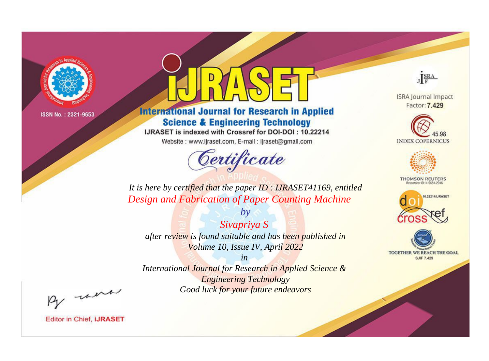

# **International Journal for Research in Applied Science & Engineering Technology**

IJRASET is indexed with Crossref for DOI-DOI: 10.22214

Website: www.ijraset.com, E-mail: ijraset@gmail.com



JERA

**ISRA Journal Impact** Factor: 7.429





**THOMSON REUTERS** 



TOGETHER WE REACH THE GOAL **SJIF 7.429** 

*It is here by certified that the paper ID : IJRASET41169, entitled Design and Fabrication of Paper Counting Machine*

*Sivapriya S after review is found suitable and has been published in Volume 10, Issue IV, April 2022*

*by*

*in* 

*International Journal for Research in Applied Science & Engineering Technology Good luck for your future endeavors*

By morn